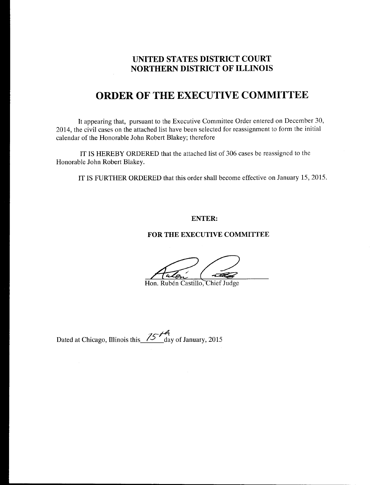## UNITED STATES DISTRICT COURT NORTHERN DISTRICT OF ILLINOIS

## ORDER OF THE EXECUTIVE COMMITTEE

It appearing that, pursuant to the Executive Committee Order entered on December 30, 2014, the civil cases on the attached list have been selected for reassignment to form the initial calendar of the Honorable John Robert Blakey; therefore

IT IS HEREBY ORDERED that the attached list of 306 cases be reassigned to the Honorable John Robert Blakey.

IT IS FURTHER ORDERED that this order shall become effective on January t5,2015.

## ENTER:

## FOR THE EXECUTIVE COMMITTEE

Hon. Rubén Castillo, Chief Judge

Dated at Chicago, Illinois this  $\frac{75}{4}$  day of January, 2015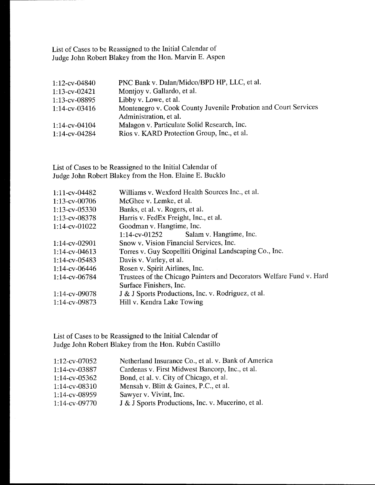List of Cases to be Reassigned to the Initial Calendar of Judge John Robert Blakey from the Hon. Marvin E. Aspen

| 1:12-cv-04840    | PNC Bank v. Dalan/Midco/BPD HP, LLC, et al.                     |
|------------------|-----------------------------------------------------------------|
| $1:13$ -cv-02421 | Montjoy v. Gallardo, et al.                                     |
| 1:13-cv-08895    | Libby v. Lowe, et al.                                           |
| $1:14$ -cv-03416 | Montenegro v. Cook County Juvenile Probation and Court Services |
|                  | Administration, et al.                                          |
| $1:14$ -cv-04104 | Malagon v. Particulate Solid Research, Inc.                     |
| 1:14-cv-04284    | Rios v. KARD Protection Group, Inc., et al.                     |
|                  |                                                                 |

List of Cases to be Reassigned to the Initial Calendar of Judge John Robert Blakey from the Hon. Elaine E. Bucklo

| 1:11-cv-04482    | Williams v. Wexford Health Sources Inc., et al.                      |  |
|------------------|----------------------------------------------------------------------|--|
| $1:13$ -cv-00706 | McGhee v. Lemke, et al.                                              |  |
| $1:13$ -cv-05330 | Banks, et al. v. Rogers, et al.                                      |  |
| 1:13-cv-08378    | Harris v. FedEx Freight, Inc., et al.                                |  |
| $1:14$ -cv-01022 | Goodman v. Hangtime, Inc.                                            |  |
|                  | Salam v. Hangtime, Inc.<br>$1:14$ -cv-01252                          |  |
| 1:14-cv-02901    | Snow v. Vision Financial Services, Inc.                              |  |
| $1:14$ -cv-04613 | Torres v. Guy Scopelliti Original Landscaping Co., Inc.              |  |
| 1:14-cv-05483    | Davis v. Varley, et al.                                              |  |
| $1:14$ -cv-06446 | Rosen v. Spirit Airlines, Inc.                                       |  |
| 1:14-cv-06784    | Trustees of the Chicago Painters and Decorators Welfare Fund v. Hard |  |
|                  | Surface Finishers, Inc.                                              |  |
| 1:14-cv-09078    | J & J Sports Productions, Inc. v. Rodriguez, et al.                  |  |
| $1:14$ -cv-09873 | Hill v. Kendra Lake Towing                                           |  |
|                  |                                                                      |  |

List of Cases to be Reassigned to the Initial Calendar of Judge John Robert Blakey from the Hon. Rubén Castillo

| Netherland Insurance Co., et al. v. Bank of America |
|-----------------------------------------------------|
| Cardenas v. First Midwest Bancorp, Inc., et al.     |
| Bond, et al. v. City of Chicago, et al.             |
| Mensah v. Blitt & Gaines, P.C., et al.              |
| Sawyer v. Vivint, Inc.                              |
| J & J Sports Productions, Inc. v. Mucerino, et al.  |
|                                                     |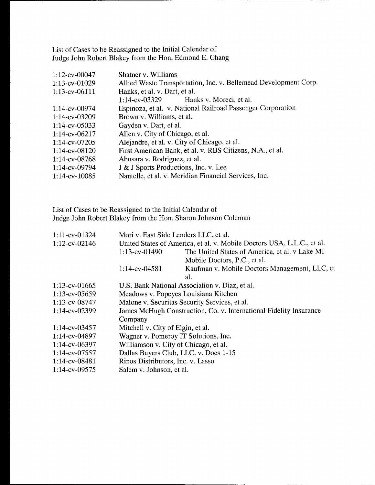List of Cases to be Reassigned to the Initial Calendar of Judge John Robert Blakey from the Hon. Edmond E. Chang

| 1:12-cv-00047       | Shatner v. Williams                                              |
|---------------------|------------------------------------------------------------------|
| $1:13$ -cv-01029    | Allied Waste Transportation, Inc. v. Bellemead Development Corp. |
| 1:13-cv-06111       | Hanks, et al. v. Dart, et al.                                    |
|                     | Hanks v. Moreci, et al.<br>1:14-cv-03329                         |
| $1:14$ -cv-00974    | Espinoza, et al. v. National Railroad Passenger Corporation      |
| 1:14-cv-03209       | Brown v. Williams, et al.                                        |
| $1:14$ -cv-05033    | Gayden v. Dart, et al.                                           |
| $1:14$ -cv-06217    | Allen v. City of Chicago, et al.                                 |
| $1:14$ -cv-07205    | Alejandre, et al. v. City of Chicago, et al.                     |
| $1:14$ -cv-08120    | First American Bank, et al. v. RBS Citizens, N.A., et al.        |
| 1:14-cv-08768       | Abusara v. Rodriguez, et al.                                     |
| $1:14$ -cv-09794    | J & J Sports Productions, Inc. v. Lee                            |
| $1:14$ -cv- $10085$ | Nantelle, et al. v. Meridian Financial Services, Inc.            |

List of Cases to be Reassigned to the Initial Calendar of Judge John Robert Blakey from the Hon. Sharon Johnson Coleman

| 1:11-cv-01324    |                                                                        | Mori v. East Side Lenders LLC, et al.          |  |
|------------------|------------------------------------------------------------------------|------------------------------------------------|--|
| 1:12-cv-02146    | United States of America, et al. v. Mobile Doctors USA, L.L.C., et al. |                                                |  |
|                  | $1:13$ -cv-01490                                                       | The United States of America, et al. v Lake MI |  |
|                  |                                                                        | Mobile Doctors, P.C., et al.                   |  |
|                  | 1:14-cv-04581                                                          | Kaufman v. Mobile Doctors Management, LLC, et  |  |
|                  |                                                                        | al.                                            |  |
| $1:13$ -cv-01665 |                                                                        | U.S. Bank National Association v. Diaz, et al. |  |
| $1:13$ -cv-05659 |                                                                        | Meadows v. Popeyes Louisiana Kitchen           |  |
| 1:13-cv-08747    |                                                                        | Malone v. Securitas Security Services, et al.  |  |
| 1:14-cv-02399    | James McHugh Construction, Co. v. International Fidelity Insurance     |                                                |  |
|                  | Company                                                                |                                                |  |
| $1:14$ -cv-03457 | Mitchell v. City of Elgin, et al.                                      |                                                |  |
| 1:14-cv-04897    |                                                                        | Wagner v. Pomeroy IT Solutions, Inc.           |  |
| 1:14-cv-06397    |                                                                        | Williamson v. City of Chicago, et al.          |  |
| 1:14-cv-07557    |                                                                        | Dallas Buyers Club, LLC. v. Does 1-15          |  |
| 1:14-cv-08481    | Rinos Distributors, Inc. v. Lasso                                      |                                                |  |
| $1:14$ -cv-09575 | Salem v. Johnson, et al.                                               |                                                |  |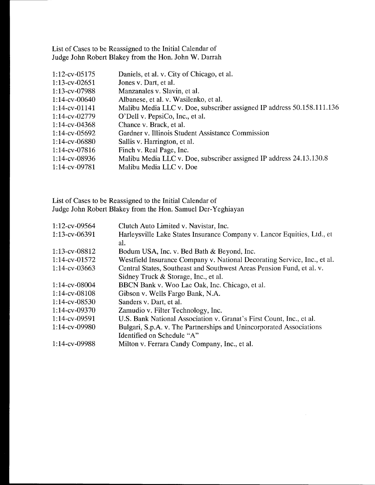List of Cases to be Reassigned to the Initial Calendar of Judge John Robert Blakey from the Hon. John W. Darrah

| 1:12-cv-05175    | Daniels, et al. v. City of Chicago, et al.                             |
|------------------|------------------------------------------------------------------------|
| $1:13$ -cv-02651 | Jones v. Dart, et al.                                                  |
| $1:13$ -cv-07988 | Manzanales v. Slavin, et al.                                           |
| $1:14$ -cv-00640 | Albanese, et al. v. Wasilenko, et al.                                  |
| $1:14$ -cv-01141 | Malibu Media LLC v. Doe, subscriber assigned IP address 50.158.111.136 |
| 1:14-cv-02779    | O'Dell v. PepsiCo, Inc., et al.                                        |
| $1:14$ -cv-04368 | Chance v. Brack, et al.                                                |
| $1:14$ -cv-05692 | Gardner v. Illinois Student Assistance Commission                      |
| $1:14$ -cv-06880 | Sallis v. Harrington, et al.                                           |
| $1:14$ -cv-07816 | Finch v. Real Page, Inc.                                               |
| $1:14$ -cv-08936 | Malibu Media LLC v. Doe, subscriber assigned IP address 24.13.130.8    |
| 1:14-cv-09781    | Malibu Media LLC v. Doe                                                |

List of Cases to be Reassigned to the Initial Calendar of Judge John Robert Blakey from the Hon. Samuel Der-Yeghiayan

| Clutch Auto Limited v. Navistar, Inc.                                    |
|--------------------------------------------------------------------------|
| Harleysville Lake States Insurance Company v. Lancor Equities, Ltd., et  |
| al.                                                                      |
| Bodum USA, Inc. v. Bed Bath & Beyond, Inc.                               |
| Westfield Insurance Company v. National Decorating Service, Inc., et al. |
| Central States, Southeast and Southwest Areas Pension Fund, et al. v.    |
| Sidney Truck & Storage, Inc., et al.                                     |
| BBCN Bank v. Woo Lae Oak, Inc. Chicago, et al.                           |
| Gibson v. Wells Fargo Bank, N.A.                                         |
| Sanders v. Dart, et al.                                                  |
| Zamudio v. Filter Technology, Inc.                                       |
| U.S. Bank National Association v. Granat's First Count, Inc., et al.     |
| Bulgari, S.p.A. v. The Partnerships and Unincorporated Associations      |
| Identified on Schedule "A"                                               |
| Milton v. Ferrara Candy Company, Inc., et al.                            |
|                                                                          |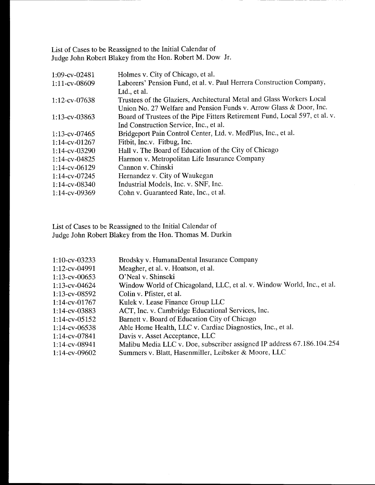List of Cases to be Reassigned to the Initial Calendar of Judge John Robert Blakey from the Hon. Robert M. Dow Jr.

| 1:09-cv-02481    | Holmes v. City of Chicago, et al.                                           |
|------------------|-----------------------------------------------------------------------------|
| 1:11-cv-08609    | Laborers' Pension Fund, et al. v. Paul Herrera Construction Company,        |
|                  | Ltd., et al.                                                                |
| 1:12-cv-07638    | Trustees of the Glaziers, Architectural Metal and Glass Workers Local       |
|                  | Union No. 27 Welfare and Pension Funds v. Arrow Glass & Door, Inc.          |
| $1:13$ -cv-03863 | Board of Trustees of the Pipe Fitters Retirement Fund, Local 597, et al. v. |
|                  | Ind Construction Service, Inc., et al.                                      |
| $1:13$ -cv-07465 | Bridgeport Pain Control Center, Ltd. v. MedPlus, Inc., et al.               |
| $1:14$ -cv-01267 | Fitbit, Inc.v. Fitbug, Inc.                                                 |
| 1:14-cv-03290    | Hall v. The Board of Education of the City of Chicago                       |
| 1:14-cv-04825    | Harmon v. Metropolitan Life Insurance Company                               |
| $1:14$ -cv-06129 | Cannon v. Chinski                                                           |
| 1:14-cv-07245    | Hernandez v. City of Waukegan                                               |
| 1:14-cv-08340    | Industrial Models, Inc. v. SNF, Inc.                                        |
| $1:14$ -cv-09369 | Cohn v. Guaranteed Rate, Inc., et al.                                       |

List of Cases to be Reassigned to the Initial Calendar of Judge John Robert Blakey from the Hon. Thomas M. Durkin

| $1:10$ -cv-03233 | Brodsky v. HumanaDental Insurance Company                              |
|------------------|------------------------------------------------------------------------|
| 1:12-cv-04991    | Meagher, et al. v. Hoatson, et al.                                     |
| $1:13$ -cv-00653 | O'Neal v. Shinseki                                                     |
| $1:13$ -cv-04624 | Window World of Chicagoland, LLC, et al. v. Window World, Inc., et al. |
| $1:13$ -cv-08592 | Colin v. Pfister, et al.                                               |
| $1:14$ -cv-01767 | Kulek v. Lease Finance Group LLC                                       |
| $1:14$ -cv-03883 | ACT, Inc. v. Cambridge Educational Services, Inc.                      |
| $1:14$ -cv-05152 | Barnett v. Board of Education City of Chicago                          |
| $1:14$ -cv-06538 | Able Home Health, LLC v. Cardiac Diagnostics, Inc., et al.             |
| 1:14-cv-07841    | Davis v. Asset Acceptance, LLC                                         |
| $1:14$ -cv-08941 | Malibu Media LLC v. Doe, subscriber assigned IP address 67.186.104.254 |
| $1:14$ -cv-09602 | Summers v. Blatt, Hasenmiller, Leibsker & Moore, LLC                   |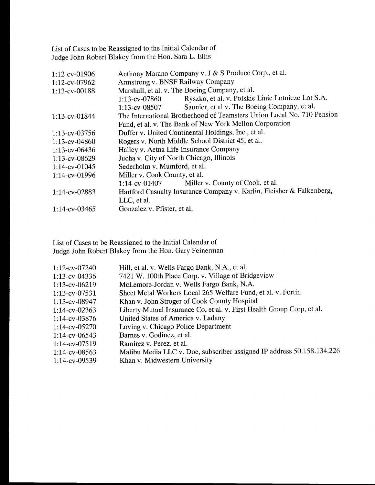List of Cases to be Reassigned to the Initial Calendar of Judge John Robert Blakey from the Hon. Sara L. Ellis

| 1:12-cv-01906    | Anthony Marano Company v. J & S Produce Corp., et al.                  |
|------------------|------------------------------------------------------------------------|
| 1:12-cv-07962    | Armstrong v. BNSF Railway Company                                      |
| 1:13-cv-00188    | Marshall, et al. v. The Boeing Company, et al.                         |
|                  | Ryszko, et al. v. Polskie Linie Lotnicze Lot S.A.<br>$1:13$ -cv-07860  |
|                  | Saunier, et al v. The Boeing Company, et al.<br>$1:13$ -cv-08507       |
| 1:13-cv-01844    | The International Brotherhood of Teamsters Union Local No. 710 Pension |
|                  | Fund, et al. v. The Bank of New York Mellon Corporation                |
| $1:13$ -cv-03756 | Duffer v. United Continental Holdings, Inc., et al.                    |
| 1:13-cv-04860    | Rogers v. North Middle School District 45, et al.                      |
| 1:13-cv-06436    | Halley v. Aetna Life Insurance Company                                 |
| 1:13-cv-08629    | Jucha v. City of North Chicago, Illinois                               |
| 1:14-cv-01045    | Sederholm v. Mumford, et al.                                           |
| 1:14-cv-01996    | Miller v. Cook County, et al.                                          |
|                  | Miller v. County of Cook, et al.<br>$1:14$ -cv-01407                   |
| 1:14-cv-02883    | Hartford Casualty Insurance Company v. Karlin, Fleisher & Falkenberg,  |
|                  | LLC, et al.                                                            |
| $1:14$ -cv-03465 | Gonzalez v. Pfister, et al.                                            |

List of Cases to be Reassigned to the Initial Calendar of Judge John Robert Blakey from the Hon. Gary Feinerman

| $1:12$ -cv-07240 | Hill, et al. v. Wells Fargo Bank, N.A., et al.                         |
|------------------|------------------------------------------------------------------------|
| $1:13$ -cv-04336 | 7421 W. 100th Place Corp. v. Village of Bridgeview                     |
| 1:13-cv-06219    | McLemore-Jordan v. Wells Fargo Bank, N.A.                              |
| 1:13-cv-07531    | Sheet Metal Workers Local 265 Welfare Fund, et al. v. Fortin           |
| 1:13-cv-08947    | Khan v. John Stroger of Cook County Hospital                           |
| $1:14$ -cv-02363 | Liberty Mutual Insurance Co, et al. v. First Health Group Corp, et al. |
| $1:14$ -cv-03876 | United States of America v. Ladany                                     |
| $1:14$ -cv-05270 | Loving v. Chicago Police Department                                    |
| $1:14$ -cv-06543 | Barnes v. Godinez, et al.                                              |
| 1:14-cv-07519    | Ramirez v. Perez, et al.                                               |
| $1:14$ -cv-08563 | Malibu Media LLC v. Doe, subscriber assigned IP address 50.158.134.226 |
| $1:14$ -cv-09539 | Khan v. Midwestern University                                          |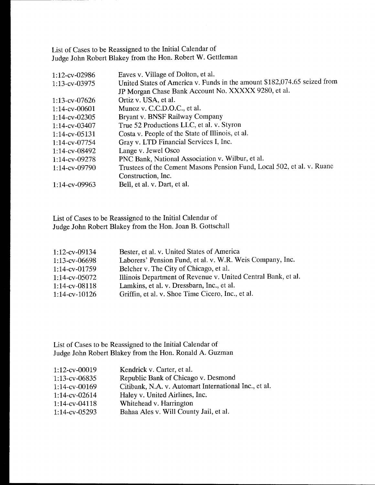List of Cases to be Reassigned to the Initial Calendar of Judge John Robert Blakey from the Hon. Robert W. Gettleman

| 1:12-cv-02986    | Eaves v. Village of Dolton, et al.                                       |
|------------------|--------------------------------------------------------------------------|
| 1:13-cv-03975    | United States of America v. Funds in the amount \$182,074.65 seized from |
|                  | JP Morgan Chase Bank Account No. XXXXX 9280, et al.                      |
| $1:13$ -cv-07626 | Ortiz v. USA, et al.                                                     |
| $1:14$ -cv-00601 | Munoz v. C.C.D.O.C., et al.                                              |
| $1:14$ -cv-02305 | Bryant v. BNSF Railway Company                                           |
| $1:14$ -cv-03407 | True 52 Productions LLC, et al. v. Styron                                |
| $1:14$ -cv-05131 | Costa v. People of the State of Illinois, et al.                         |
| $1:14$ -cv-07754 | Gray v. LTD Financial Services I, Inc.                                   |
| $1:14$ -cv-08492 | Lange v. Jewel Osco                                                      |
| 1:14-cv-09278    | PNC Bank, National Association v. Wilbur, et al.                         |
| $1:14$ -cv-09790 | Trustees of the Cement Masons Pension Fund, Local 502, et al. v. Ruane   |
|                  | Construction, Inc.                                                       |
| 1:14-cv-09963    | Bell, et al. v. Dart, et al.                                             |

List of Cases to be Reassigned to the Initial Calendar of Judge John Robert Blakey from the Hon. Joan B. Gottschall

| $1:12$ -cv-09134    | Bester, et al. v. United States of America                    |
|---------------------|---------------------------------------------------------------|
| $1:13$ -cv-06698    | Laborers' Pension Fund, et al. v. W.R. Weis Company, Inc.     |
| $1:14$ -cv-01759    | Belcher v. The City of Chicago, et al.                        |
| $1:14$ -cv-05072    | Illinois Department of Revenue v. United Central Bank, et al. |
| $1:14$ -cv-08118    | Lamkins, et al. v. Dressbarn, Inc., et al.                    |
| $1:14$ -cv- $10126$ | Griffin, et al. v. Shoe Time Cicero, Inc., et al.             |

List of Cases to be Reassigned to the Initial Calendar of Judge John Robert Blakey from the Hon. Ronald A. Guzman

| 1:12-cv-00019    | Kendrick v. Carter, et al.                            |
|------------------|-------------------------------------------------------|
| 1:13-cv-06835    | Republic Bank of Chicago v. Desmond                   |
| 1:14-cv-00169    | Citibank, N.A. v. Automart International Inc., et al. |
| 1:14-cv-02614    | Haley v. United Airlines, Inc.                        |
| $1:14$ -cv-04118 | Whitehead v. Harrington                               |
| $1:14$ -cv-05293 | Bahaa Ales v. Will County Jail, et al.                |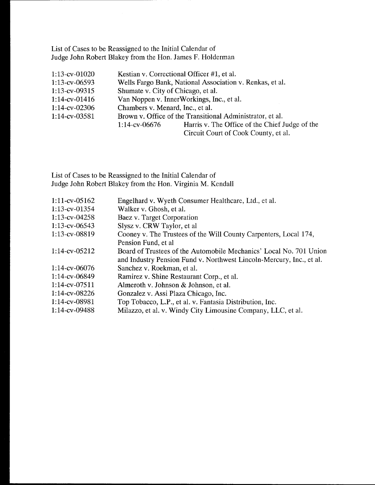List of Cases to be Reassigned to the Initial Calendar of Judge John Robert Blakey from the Hon. James F. Holderman

| $1:13$ -cv-01020 |                                    | Kestian v. Correctional Officer #1, et al.                |
|------------------|------------------------------------|-----------------------------------------------------------|
| $1:13$ -cv-06593 |                                    | Wells Fargo Bank, National Association v. Renkas, et al.  |
| $1:13$ -cv-09315 | Shumate v. City of Chicago, et al. |                                                           |
| $1:14$ -cv-01416 |                                    | Van Noppen v. InnerWorkings, Inc., et al.                 |
| $1:14$ -cv-02306 | Chambers v. Menard, Inc., et al.   |                                                           |
| $1:14$ -cv-03581 |                                    | Brown v. Office of the Transitional Administrator, et al. |
|                  | $1:14$ -cv-06676                   | Harris v. The Office of the Chief Judge of the            |
|                  |                                    | Circuit Court of Cook County, et al.                      |

List of Cases to be Reassigned to the Initial Calendar of Judge John Robert Blakey from the Hon. Virginia M. Kendall

| $1:11$ -cv-05162 | Engelhard v. Wyeth Consumer Healthcare, Ltd., et al.                 |
|------------------|----------------------------------------------------------------------|
|                  |                                                                      |
| 1:13-cv-01354    | Walker v. Ghosh, et al.                                              |
| $1:13$ -cv-04258 | Baez v. Target Corporation                                           |
| $1:13$ -cv-06543 | Slysz v. CRW Taylor, et al.                                          |
| 1:13-cv-08819    | Cooney v. The Trustees of the Will County Carpenters, Local 174,     |
|                  | Pension Fund, et al                                                  |
| $1:14$ -cv-05212 | Board of Trustees of the Automobile Mechanics' Local No. 701 Union   |
|                  | and Industry Pension Fund v. Northwest Lincoln-Mercury, Inc., et al. |
| 1:14-cv-06076    | Sanchez v. Roekman, et al.                                           |
| 1:14-cv-06849    | Ramirez v. Shine Restaurant Corp., et al.                            |
| $1:14$ -cv-07511 | Almeroth v. Johnson & Johnson, et al.                                |
| 1:14-cv-08226    | Gonzalez v. Assi Plaza Chicago, Inc.                                 |
| 1:14-cv-08981    | Top Tobacco, L.P., et al. v. Fantasia Distribution, Inc.             |
| 1:14-cv-09488    | Milazzo, et al. v. Windy City Limousine Company, LLC, et al.         |
|                  |                                                                      |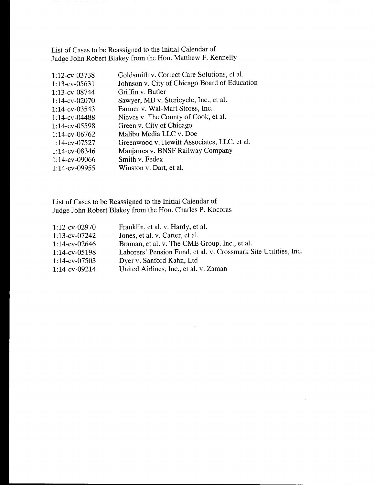List of Cases to be Reassigned to the Initial Calendar of Judge John Robert Blakey from the Hon. Matthew F. Kennelly

| 1:12-cv-03738    | Goldsmith v. Correct Care Solutions, et al.   |
|------------------|-----------------------------------------------|
| $1:13$ -cv-05631 | Johnson v. City of Chicago Board of Education |
| 1:13-cv-08744    | Griffin v. Butler                             |
| 1:14-cv-02070    | Sawyer, MD v. Stericycle, Inc., et al.        |
| $1:14$ -cv-03543 | Farmer v. Wal-Mart Stores, Inc.               |
| 1:14-cv-04488    | Nieves v. The County of Cook, et al.          |
| 1:14-cv-05598    | Green v. City of Chicago                      |
| $1:14$ -cv-06762 | Malibu Media LLC v. Doe                       |
| 1:14-cv-07527    | Greenwood v. Hewitt Associates, LLC, et al.   |
| 1:14-cv-08346    | Manjarres v. BNSF Railway Company             |
| 1:14-cv-09066    | Smith v. Fedex                                |
| $1:14$ -cv-09955 | Winston v. Dart, et al.                       |

List of Cases to be Reassigned to the Initial Calendar of Judge John Robert Blakey from the Hon. Charles P. Kocoras

| $1:12$ -cv-02970 | Franklin, et al. v. Hardy, et al.                                |
|------------------|------------------------------------------------------------------|
| $1:13$ -cv-07242 | Jones, et al. v. Carter, et al.                                  |
| $1:14$ -cv-02646 | Braman, et al. v. The CME Group, Inc., et al.                    |
| $1:14$ -cv-05198 | Laborers' Pension Fund, et al. v. Crossmark Site Utilities, Inc. |
| $1:14$ -cv-07503 | Dyer v. Sanford Kahn, Ltd                                        |
| $1:14$ -cv-09214 | United Airlines, Inc., et al. v. Zaman                           |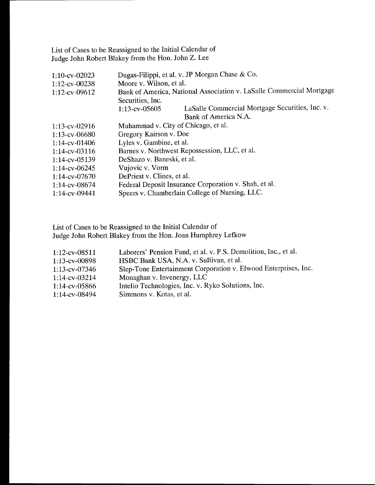List of Cases to be Reassigned to the Initial Calendar of Judge John Robert Blakey from the Hon. John Z. Lee

| 1:10-cv-02023    | Dugas-Filippi, et al. v. JP Morgan Chase & Co.                       |  |
|------------------|----------------------------------------------------------------------|--|
| 1:12-cv-00238    | Moore v. Wilson, et al.                                              |  |
| 1:12-cv-09612    | Bank of America, National Association v. LaSalle Commercial Mortgage |  |
|                  | Securities, Inc.                                                     |  |
|                  | LaSalle Commercial Mortgage Securities, Inc. v.<br>$1:13$ -cv-05605  |  |
|                  | Bank of America N.A.                                                 |  |
| $1:13$ -cv-02916 | Muhammad v. City of Chicago, et al.                                  |  |
| $1:13$ -cv-06680 | Gregory Kairson v. Doe                                               |  |
| $1:14$ -cv-01406 | Lyles v. Gambine, et al.                                             |  |
| $1:14$ -cv-03116 | Barnes v. Northwest Repossession, LLC, et al.                        |  |
| $1:14$ -cv-05139 | DeShazo v. Baneski, et al.                                           |  |
| $1:14$ -cv-06245 | Vujovic v. Vorm                                                      |  |
| $1:14$ -cv-07670 | DePriest v. Clines, et al.                                           |  |
| $1:14$ -cv-08674 | Federal Deposit Insurance Corporation v. Shah, et al.                |  |
| 1:14-cv-09441    | Speers v. Chamberlain College of Nursing, LLC.                       |  |

List of Cases to be Reassigned to the Initial Calendar of Judge John Robert Blakey from the Hon. Joan Humphrey Lefkow

| $1:12$ -cv-08511 | Laborers' Pension Fund, et al. v. P.S. Demolition, Inc., et al. |
|------------------|-----------------------------------------------------------------|
| 1:13-cv-00898    | HSBC Bank USA, N.A. v. Sullivan, et al.                         |
| $1:13$ -cv-07346 | Slep-Tone Entertainment Corporation v. Elwood Enterprises, Inc. |
| $1:14$ -cv-03214 | Monaghan v. Invenergy, LLC                                      |
| $1:14$ -cv-05866 | Intelio Technologies, Inc. v. Ryko Solutions, Inc.              |
| $1:14$ -cv-08494 | Simmons v. Kotas, et al.                                        |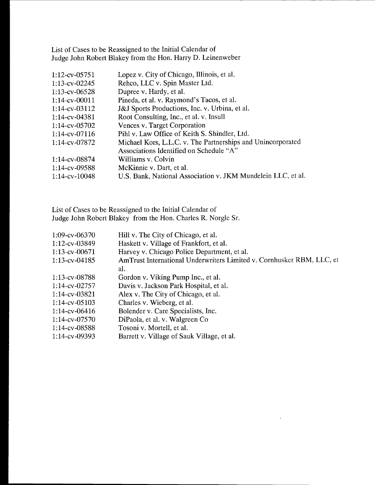List of Cases to be Reassigned to the Initial Calendar of Judge John Robert Blakey from the Hon. Harry D. Leinenweber

| Lopez v. City of Chicago, Illinois, et al.                   |
|--------------------------------------------------------------|
| Rehco, LLC v. Spin Master Ltd.                               |
| Dupree v. Hardy, et al.                                      |
| Pineda, et al. v. Raymond's Tacos, et al.                    |
| J&J Sports Productions, Inc. v. Urbina, et al.               |
| Root Consulting, Inc., et al. v. Insull                      |
| Vences v. Target Corporation                                 |
| Pihl v. Law Office of Keith S. Shindler, Ltd.                |
| Michael Kors, L.L.C. v. The Partnerships and Unincorporated  |
| Associations Identified on Schedule "A"                      |
| Williams v. Colvin                                           |
| McKinnie v. Dart, et al.                                     |
| U.S. Bank, National Association v. JKM Mundelein LLC, et al. |
|                                                              |

List of Cases to be Reassigned to the Initial Calendar of Judge John Robert Blakey from the Hon. Charles R. Norgle Sr.

| 1:09-cv-06370    | Hill v. The City of Chicago, et al.                                   |
|------------------|-----------------------------------------------------------------------|
|                  |                                                                       |
| $1:12$ -cv-03849 | Haskett v. Village of Frankfort, et al.                               |
| $1:13$ -cv-00671 | Harvey v. Chicago Police Department, et al.                           |
| $1:13$ -cv-04185 | AmTrust International Underwriters Limited v. Cornhusker RBM, LLC, et |
|                  | al.                                                                   |
| 1:13-cv-08788    | Gordon v. Viking Pump Inc., et al.                                    |
| $1:14$ -cv-02757 | Davis v. Jackson Park Hospital, et al.                                |
| 1:14-cv-03821    | Alex v. The City of Chicago, et al.                                   |
| $1:14$ -cv-05103 | Charles v. Wieberg, et al.                                            |
| $1:14$ -cv-06416 | Bolender v. Care Specialists, Inc.                                    |
| $1:14$ -cv-07570 | DiPaola, et al. v. Walgreen Co                                        |
| $1:14$ -cv-08588 | Tosoni v. Mortell, et al.                                             |
| $1:14$ -cv-09393 | Barrett v. Village of Sauk Village, et al.                            |
|                  |                                                                       |

 $\bar{\ell}$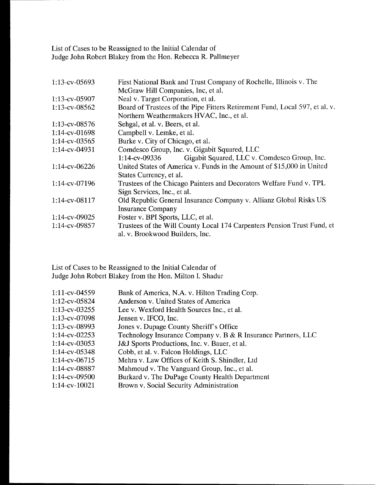List of Cases to be Reassigned to the Initial Calendar of Judge John Robert Blakey from the Hon. Rebecca R. Pallmeyer

| $1:13$ -cv-05693 | First National Bank and Trust Company of Rochelle, Illinois v. The          |  |
|------------------|-----------------------------------------------------------------------------|--|
|                  | McGraw Hill Companies, Inc, et al.                                          |  |
| 1:13-cv-05907    | Neal v. Target Corporation, et al.                                          |  |
| 1:13-cv-08562    | Board of Trustees of the Pipe Fitters Retirement Fund, Local 597, et al. v. |  |
|                  | Northern Weathermakers HVAC, Inc., et al.                                   |  |
| 1:13-cv-08576    | Sehgal, et al. v. Beers, et al.                                             |  |
| 1:14-cv-01698    | Campbell v. Lemke, et al.                                                   |  |
| $1:14$ -cv-03565 | Burke v. City of Chicago, et al.                                            |  |
| $1:14$ -cv-04931 | Comdesco Group, Inc. v. Gigabit Squared, LLC                                |  |
|                  | Gigabit Squared, LLC v. Comdesco Group, Inc.<br>$1:14$ -cv-09336            |  |
| 1:14-cv-06226    | United States of America v. Funds in the Amount of \$15,000 in United       |  |
|                  | States Currency, et al.                                                     |  |
| 1:14-cv-07196    | Trustees of the Chicago Painters and Decorators Welfare Fund v. TPL         |  |
|                  | Sign Services, Inc., et al.                                                 |  |
| 1:14-cv-08117    | Old Republic General Insurance Company v. Allianz Global Risks US           |  |
|                  | <b>Insurance Company</b>                                                    |  |
| 1:14-cv-09025    | Foster v. BPI Sports, LLC, et al.                                           |  |
| 1:14-cv-09857    | Trustees of the Will County Local 174 Carpenters Pension Trust Fund, et     |  |
|                  | al. v. Brookwood Builders, Inc.                                             |  |

List of Cases to be Reassigned to the Initial Calendar of Judge John Robert Blakey from the Hon. Milton I. Shadur

| $1:11$ -cv-04559 | Bank of America, N.A. v. Hilton Trading Corp.                 |
|------------------|---------------------------------------------------------------|
|                  |                                                               |
| 1:12-cv-05824    | Anderson v. United States of America                          |
| $1:13$ -cv-03255 | Lee v. Wexford Health Sources Inc., et al.                    |
| 1:13-cv-07098    | Jensen v. IFCO, Inc.                                          |
| 1:13-cv-08993    | Jones v. Dupage County Sheriff's Office                       |
| $1:14$ -cv-02253 | Technology Insurance Company v. B & R Insurance Partners, LLC |
| $1:14$ -cv-03053 | J&J Sports Productions, Inc. v. Bauer, et al.                 |
| $1:14$ -cv-05348 | Cobb, et al. v. Falcon Holdings, LLC                          |
| $1:14$ -cv-06715 | Mehra v. Law Offices of Keith S. Shindler, Ltd                |
| 1:14-cv-08887    | Mahmoud v. The Vanguard Group, Inc., et al.                   |
| 1:14-cv-09500    | Burkard v. The DuPage County Health Department                |
| 1:14-cv-10021    | Brown v. Social Security Administration                       |
|                  |                                                               |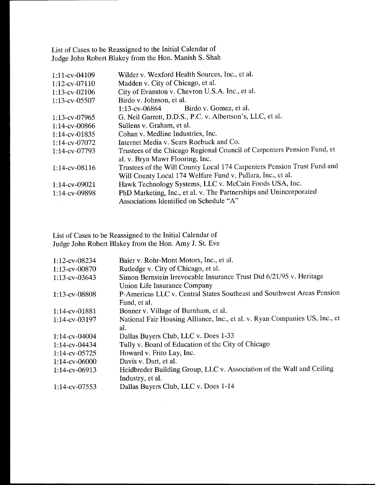List of Cases to be Reassigned to the Initial Calendar of Judge John Robert Blakey from the Hon. Manish S. Shah

| 1:11-cv-04109    | Wilder v. Wexford Health Sources, Inc., et al.                          |
|------------------|-------------------------------------------------------------------------|
| 1:12-cv-07110    | Madden v. City of Chicago, et al.                                       |
| 1:13-cv-02106    | City of Evanston v. Chevron U.S.A. Inc., et al.                         |
| 1:13-cv-05507    | Birdo v. Johnson, et al.                                                |
|                  | Birdo v. Gomez, et al.<br>1:13-cv-06864                                 |
| 1:13-cv-07965    | G. Neil Garrett, D.D.S., P.C. v. Albertson's, LLC, et al.               |
| $1:14$ -cv-00866 | Sullens v. Graham, et al.                                               |
| $1:14$ -cv-01835 | Cohan v. Medline Industries, Inc.                                       |
| 1:14-cv-07072    | Internet Media v. Sears Roebuck and Co.                                 |
| 1:14-cv-07793    | Trustees of the Chicago Regional Council of Carpenters Pension Fund, et |
|                  | al. v. Bryn Mawr Flooring, Inc.                                         |
| 1:14-cv-08116    | Trustees of the Will County Local 174 Carpenters Pension Trust Fund and |
|                  | Will County Local 174 Welfare Fund v. Pullara, Inc., et al.             |
| $1:14$ -cv-09021 | Hawk Technology Systems, LLC v. McCain Foods USA, Inc.                  |
| 1:14-cv-09898    | PhD Marketing, Inc., et al. v. The Partnerships and Unincorporated      |
|                  | Associations Identified on Schedule "A"                                 |

List of Cases to be Reassigned to the Initial Calendar of Judge John Robert Blakey from the Hon. Amy J. St. Eve

| 1:12-cv-08234    | Baier v. Rohr-Mont Motors, Inc., et al.                                     |
|------------------|-----------------------------------------------------------------------------|
| $1:13$ -cv-00870 | Rutledge v. City of Chicago, et al.                                         |
| 1:13-cv-03643    | Simon Bernstein Irrevocable Insurance Trust Dtd 6/21/95 v. Heritage         |
|                  | Union Life Insurance Company                                                |
| 1:13-cv-08808    | P-Americas LLC v. Central States Southeast and Southwest Areas Pension      |
|                  | Fund, et al.                                                                |
| 1:14-cv-01881    | Bonner v. Village of Burnham, et al.                                        |
| $1:14$ -cv-03197 | National Fair Housing Alliance, Inc., et al. v. Ryan Companies US, Inc., et |
|                  | al.                                                                         |
| $1:14$ -cv-04004 | Dallas Buyers Club, LLC v. Does 1-33                                        |
| 1:14-cv-04434    | Tully v. Board of Education of the City of Chicago                          |
| $1:14$ -cv-05725 | Howard v. Frito Lay, Inc.                                                   |
| $1:14$ -cv-06000 | Davis v. Dart, et al.                                                       |
| $1:14$ -cv-06913 | Heidbreder Building Group, LLC v. Association of the Wall and Ceiling       |
|                  | Industry, et al.                                                            |
| $1:14$ -cv-07553 | Dallas Buyers Club, LLC v. Does 1-14                                        |
|                  |                                                                             |

 $\sim 10^6$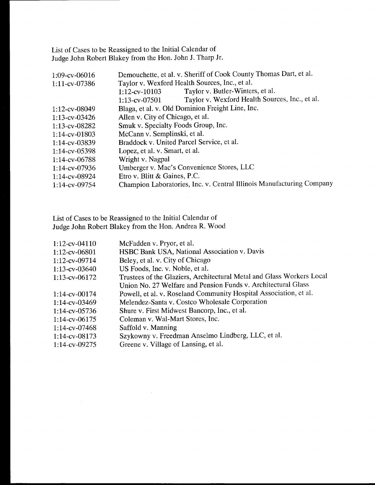List of Cases to be Reassigned to the Initial Calendar of Judge John Robert Blakey from the Hon. John J. Tharp Jr.

| $1:09$ -cv-06016 | Demouchette, et al. v. Sheriff of Cook County Thomas Dart, et al.     |
|------------------|-----------------------------------------------------------------------|
| 1:11-cv-07386    | Taylor v. Wexford Health Sources, Inc., et al.                        |
|                  | Taylor v. Butler-Winters, et al.<br>$1:12$ -cv- $10103$               |
|                  | Taylor v. Wexford Health Sources, Inc., et al.<br>1:13-cv-07501       |
| 1:12-cv-08049    | Blaga, et al. v. Old Dominion Freight Line, Inc.                      |
| $1:13$ -cv-03426 | Allen v. City of Chicago, et al.                                      |
| $1:13$ -cv-08282 | Smuk v. Specialty Foods Group, Inc.                                   |
| 1:14-cv-01803    | McCann v. Semplinski, et al.                                          |
| 1:14-cv-03839    | Braddock v. United Parcel Service, et al.                             |
| 1:14-cv-05398    | Lopez, et al. v. Smart, et al.                                        |
| $1:14$ -cv-06788 | Wright v. Nagpal                                                      |
| $1:14$ -cv-07936 | Umberger v. Mac's Convenience Stores, LLC                             |
| 1:14-cv-08924    | Etro v. Blitt & Gaines, P.C.                                          |
| 1:14-cv-09754    | Champion Laboratories, Inc. v. Central Illinois Manufacturing Company |
|                  |                                                                       |

List of Cases to be Reassigned to the Initial Calendar of Judge John Robert Blakey from the Hon. Andrea R. Wood

 $\sim$  .

| 1:12-cv-04110    | McFadden v. Pryor, et al.                                             |
|------------------|-----------------------------------------------------------------------|
| 1:12-cv-06801    | HSBC Bank USA, National Association v. Davis                          |
| 1:12-cv-09714    | Beley, et al. v. City of Chicago                                      |
| 1:13-cv-03640    | US Foods, Inc. v. Noble, et al.                                       |
| 1:13-cv-06172    | Trustees of the Glaziers, Architectural Metal and Glass Workers Local |
|                  | Union No. 27 Welfare and Pension Funds v. Architectural Glass         |
| 1:14-cv-00174    | Powell, et al. v. Roseland Community Hospital Association, et al.     |
| 1:14-cv-03469    | Melendez-Santa v. Costco Wholesale Corporation                        |
| $1:14$ -cv-05736 | Shure v. First Midwest Bancorp, Inc., et al.                          |
| 1:14-cv-06175    | Coleman v. Wal-Mart Stores, Inc.                                      |
| 1:14-cv-07468    | Saffold v. Manning                                                    |
| $1:14$ -cv-08173 | Szykowny v. Freedman Anselmo Lindberg, LLC, et al.                    |
| $1:14$ -cv-09275 | Greene v. Village of Lansing, et al.                                  |
|                  |                                                                       |